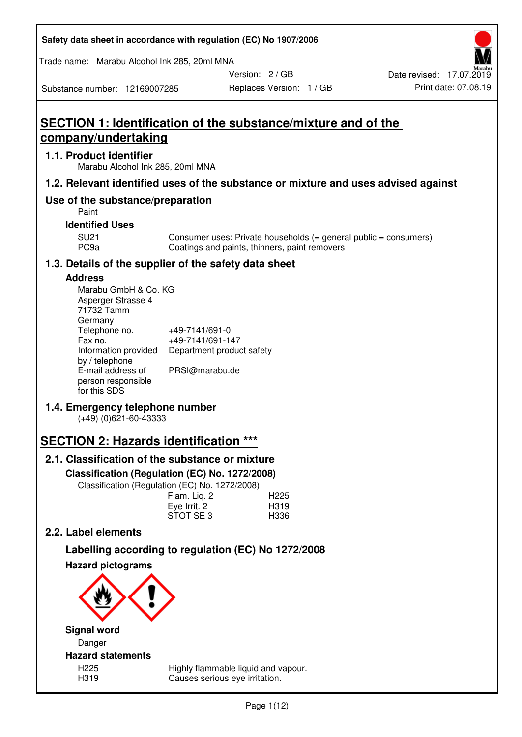| Safety data sheet in accordance with regulation (EC) No 1907/2006 |  |
|-------------------------------------------------------------------|--|
|-------------------------------------------------------------------|--|

Trade name: Marabu Alcohol Ink 285, 20ml MNA

Version: 2 / GB

Substance number: 12169007285

# **SECTION 1: Identification of the substance/mixture and of the company/undertaking**

## **1.1. Product identifier**

Marabu Alcohol Ink 285, 20ml MNA

## **1.2. Relevant identified uses of the substance or mixture and uses advised against**

## **Use of the substance/preparation**

Paint

## **Identified Uses**

SU21 Consumer uses: Private households (= general public = consumers)<br>PC9a Coatings and paints, thinners, paint removers Coatings and paints, thinners, paint removers

## **1.3. Details of the supplier of the safety data sheet**

## **Address**

| Marabu GmbH & Co. KG |                           |
|----------------------|---------------------------|
| Asperger Strasse 4   |                           |
| 71732 Tamm           |                           |
| Germany              |                           |
| Telephone no.        | +49-7141/691-0            |
| Fax no.              | +49-7141/691-147          |
| Information provided | Department product safety |
| by / telephone       |                           |
| E-mail address of    | PRSI@marabu.de            |
| person responsible   |                           |
| for this SDS         |                           |

## **1.4. Emergency telephone number**

(+49) (0)621-60-43333

# **SECTION 2: Hazards identification \*\*\***

## **2.1. Classification of the substance or mixture**

**Classification (Regulation (EC) No. 1272/2008)** 

Classification (Regulation (EC) No. 1272/2008)

|              | . |                  |
|--------------|---|------------------|
| Flam. Liq. 2 |   | H <sub>225</sub> |
| Eye Irrit. 2 |   | H319             |
| STOT SE3     |   | H336             |
|              |   |                  |

## **2.2. Label elements**

# **Labelling according to regulation (EC) No 1272/2008**



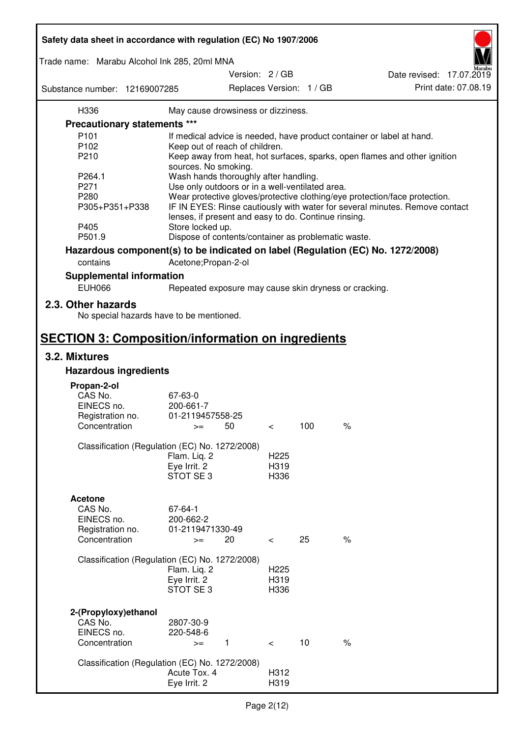| Safety data sheet in accordance with regulation (EC) No 1907/2006 |                                                       |                                             |     |                                                                                 |  |
|-------------------------------------------------------------------|-------------------------------------------------------|---------------------------------------------|-----|---------------------------------------------------------------------------------|--|
| Trade name: Marabu Alcohol Ink 285, 20ml MNA                      |                                                       |                                             |     |                                                                                 |  |
| Substance number: 12169007285                                     |                                                       | Version: 2 / GB<br>Replaces Version: 1 / GB |     | Date revised: 17.07.2019<br>Print date: 07.08.19                                |  |
| H336                                                              | May cause drowsiness or dizziness.                    |                                             |     |                                                                                 |  |
| <b>Precautionary statements ***</b>                               |                                                       |                                             |     |                                                                                 |  |
| P <sub>101</sub>                                                  |                                                       |                                             |     |                                                                                 |  |
| P <sub>102</sub>                                                  |                                                       |                                             |     | If medical advice is needed, have product container or label at hand.           |  |
|                                                                   | Keep out of reach of children.                        |                                             |     |                                                                                 |  |
| P210                                                              |                                                       |                                             |     | Keep away from heat, hot surfaces, sparks, open flames and other ignition       |  |
|                                                                   | sources. No smoking.                                  |                                             |     |                                                                                 |  |
| P264.1                                                            | Wash hands thoroughly after handling.                 |                                             |     |                                                                                 |  |
| P271                                                              | Use only outdoors or in a well-ventilated area.       |                                             |     |                                                                                 |  |
| P280                                                              |                                                       |                                             |     | Wear protective gloves/protective clothing/eye protection/face protection.      |  |
| P305+P351+P338                                                    | lenses, if present and easy to do. Continue rinsing.  |                                             |     | IF IN EYES: Rinse cautiously with water for several minutes. Remove contact     |  |
| P405                                                              | Store locked up.                                      |                                             |     |                                                                                 |  |
| P501.9                                                            | Dispose of contents/container as problematic waste.   |                                             |     |                                                                                 |  |
|                                                                   |                                                       |                                             |     | Hazardous component(s) to be indicated on label (Regulation (EC) No. 1272/2008) |  |
| contains                                                          | Acetone; Propan-2-ol                                  |                                             |     |                                                                                 |  |
|                                                                   |                                                       |                                             |     |                                                                                 |  |
| <b>Supplemental information</b>                                   |                                                       |                                             |     |                                                                                 |  |
| <b>EUH066</b>                                                     | Repeated exposure may cause skin dryness or cracking. |                                             |     |                                                                                 |  |
| 2.3. Other hazards<br>No special hazards have to be mentioned.    |                                                       |                                             |     |                                                                                 |  |
| <b>SECTION 3: Composition/information on ingredients</b>          |                                                       |                                             |     |                                                                                 |  |
| 3.2. Mixtures                                                     |                                                       |                                             |     |                                                                                 |  |
| <b>Hazardous ingredients</b>                                      |                                                       |                                             |     |                                                                                 |  |
|                                                                   |                                                       |                                             |     |                                                                                 |  |
| Propan-2-ol<br>CAS No.                                            |                                                       |                                             |     |                                                                                 |  |
|                                                                   | 67-63-0                                               |                                             |     |                                                                                 |  |
| EINECS no.                                                        | 200-661-7<br>01-2119457558-25                         |                                             |     |                                                                                 |  |
| Registration no.<br>Concentration                                 | 50                                                    |                                             | 100 | $\%$                                                                            |  |
|                                                                   | $>=$                                                  | $\,<\,$                                     |     |                                                                                 |  |
|                                                                   | Classification (Regulation (EC) No. 1272/2008)        |                                             |     |                                                                                 |  |
|                                                                   | Flam. Liq. 2                                          | H <sub>225</sub>                            |     |                                                                                 |  |
|                                                                   | Eye Irrit. 2                                          | H319                                        |     |                                                                                 |  |
|                                                                   | STOT SE 3                                             | H336                                        |     |                                                                                 |  |
|                                                                   |                                                       |                                             |     |                                                                                 |  |
| <b>Acetone</b>                                                    |                                                       |                                             |     |                                                                                 |  |
| CAS No.                                                           | 67-64-1                                               |                                             |     |                                                                                 |  |
| EINECS no.                                                        | 200-662-2                                             |                                             |     |                                                                                 |  |
| Registration no.                                                  | 01-2119471330-49                                      |                                             |     |                                                                                 |  |
| Concentration                                                     | 20<br>$>=$                                            | $\,<\,$                                     | 25  | $\%$                                                                            |  |
|                                                                   |                                                       |                                             |     |                                                                                 |  |
|                                                                   | Classification (Regulation (EC) No. 1272/2008)        |                                             |     |                                                                                 |  |
|                                                                   | Flam. Liq. 2                                          | H <sub>225</sub>                            |     |                                                                                 |  |
|                                                                   | Eye Irrit. 2                                          | H319                                        |     |                                                                                 |  |
|                                                                   | STOT SE3                                              | H336                                        |     |                                                                                 |  |
|                                                                   |                                                       |                                             |     |                                                                                 |  |
|                                                                   |                                                       |                                             |     |                                                                                 |  |
| 2-(Propyloxy) ethanol<br>CAS No.                                  | 2807-30-9                                             |                                             |     |                                                                                 |  |
| EINECS no.                                                        | 220-548-6                                             |                                             |     |                                                                                 |  |
| Concentration                                                     |                                                       |                                             | 10  | $\%$                                                                            |  |
|                                                                   | $\mathbf{1}$<br>$>=$                                  | $\lt$                                       |     |                                                                                 |  |
|                                                                   | Classification (Regulation (EC) No. 1272/2008)        |                                             |     |                                                                                 |  |
|                                                                   | Acute Tox. 4                                          | H312                                        |     |                                                                                 |  |
|                                                                   | Eye Irrit. 2                                          | H319                                        |     |                                                                                 |  |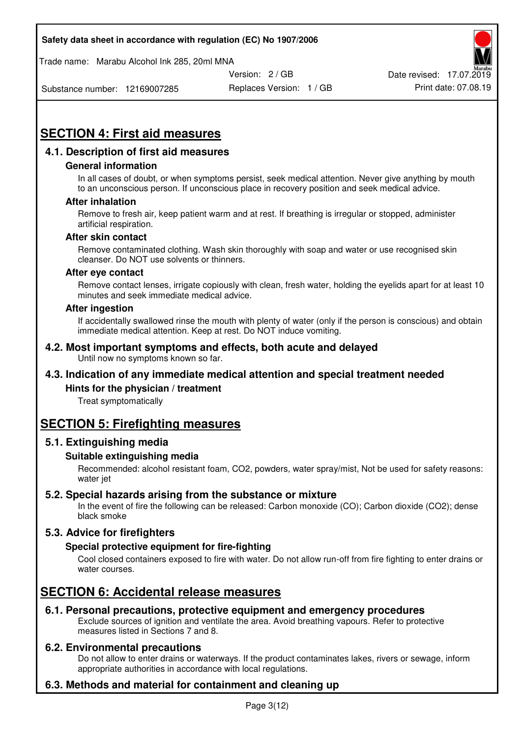Trade name: Marabu Alcohol Ink 285, 20ml MNA



Substance number: 12169007285

Replaces Version: 1 / GB Print date: 07.08.19

# **SECTION 4: First aid measures**

## **4.1. Description of first aid measures**

## **General information**

In all cases of doubt, or when symptoms persist, seek medical attention. Never give anything by mouth to an unconscious person. If unconscious place in recovery position and seek medical advice.

## **After inhalation**

Remove to fresh air, keep patient warm and at rest. If breathing is irregular or stopped, administer artificial respiration.

#### **After skin contact**

Remove contaminated clothing. Wash skin thoroughly with soap and water or use recognised skin cleanser. Do NOT use solvents or thinners.

#### **After eye contact**

Remove contact lenses, irrigate copiously with clean, fresh water, holding the eyelids apart for at least 10 minutes and seek immediate medical advice.

#### **After ingestion**

If accidentally swallowed rinse the mouth with plenty of water (only if the person is conscious) and obtain immediate medical attention. Keep at rest. Do NOT induce vomiting.

#### **4.2. Most important symptoms and effects, both acute and delayed**  Until now no symptoms known so far.

## **4.3. Indication of any immediate medical attention and special treatment needed**

## **Hints for the physician / treatment**

Treat symptomatically

## **SECTION 5: Firefighting measures**

## **5.1. Extinguishing media**

## **Suitable extinguishing media**

Recommended: alcohol resistant foam, CO2, powders, water spray/mist, Not be used for safety reasons: water jet

## **5.2. Special hazards arising from the substance or mixture**

In the event of fire the following can be released: Carbon monoxide (CO); Carbon dioxide (CO2); dense black smoke

## **5.3. Advice for firefighters**

## **Special protective equipment for fire-fighting**

Cool closed containers exposed to fire with water. Do not allow run-off from fire fighting to enter drains or water courses.

## **SECTION 6: Accidental release measures**

## **6.1. Personal precautions, protective equipment and emergency procedures**

Exclude sources of ignition and ventilate the area. Avoid breathing vapours. Refer to protective measures listed in Sections 7 and 8.

## **6.2. Environmental precautions**

Do not allow to enter drains or waterways. If the product contaminates lakes, rivers or sewage, inform appropriate authorities in accordance with local regulations.

## **6.3. Methods and material for containment and cleaning up**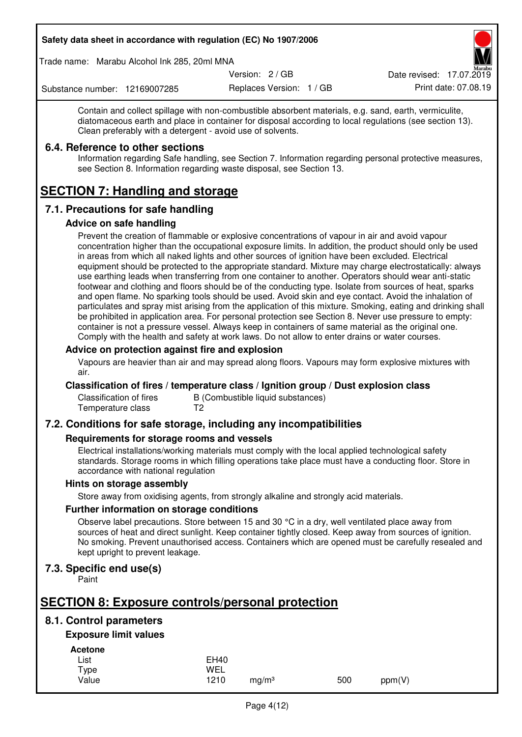Trade name: Marabu Alcohol Ink 285, 20ml MNA

Version: 2 / GB

Replaces Version: 1 / GB Print date: 07.08.19 Date revised: 17.07.2019

Substance number: 12169007285

Contain and collect spillage with non-combustible absorbent materials, e.g. sand, earth, vermiculite, diatomaceous earth and place in container for disposal according to local regulations (see section 13). Clean preferably with a detergent - avoid use of solvents.

## **6.4. Reference to other sections**

Information regarding Safe handling, see Section 7. Information regarding personal protective measures, see Section 8. Information regarding waste disposal, see Section 13.

# **SECTION 7: Handling and storage**

## **7.1. Precautions for safe handling**

## **Advice on safe handling**

Prevent the creation of flammable or explosive concentrations of vapour in air and avoid vapour concentration higher than the occupational exposure limits. In addition, the product should only be used in areas from which all naked lights and other sources of ignition have been excluded. Electrical equipment should be protected to the appropriate standard. Mixture may charge electrostatically: always use earthing leads when transferring from one container to another. Operators should wear anti-static footwear and clothing and floors should be of the conducting type. Isolate from sources of heat, sparks and open flame. No sparking tools should be used. Avoid skin and eye contact. Avoid the inhalation of particulates and spray mist arising from the application of this mixture. Smoking, eating and drinking shall be prohibited in application area. For personal protection see Section 8. Never use pressure to empty: container is not a pressure vessel. Always keep in containers of same material as the original one. Comply with the health and safety at work laws. Do not allow to enter drains or water courses.

## **Advice on protection against fire and explosion**

Vapours are heavier than air and may spread along floors. Vapours may form explosive mixtures with air.

## **Classification of fires / temperature class / Ignition group / Dust explosion class**

Classification of fires B (Combustible liquid substances)<br>Temperature class T2 Temperature class

## **7.2. Conditions for safe storage, including any incompatibilities**

## **Requirements for storage rooms and vessels**

Electrical installations/working materials must comply with the local applied technological safety standards. Storage rooms in which filling operations take place must have a conducting floor. Store in accordance with national regulation

## **Hints on storage assembly**

Store away from oxidising agents, from strongly alkaline and strongly acid materials.

## **Further information on storage conditions**

Observe label precautions. Store between 15 and 30 °C in a dry, well ventilated place away from sources of heat and direct sunlight. Keep container tightly closed. Keep away from sources of ignition. No smoking. Prevent unauthorised access. Containers which are opened must be carefully resealed and kept upright to prevent leakage.

## **7.3. Specific end use(s)**

Paint

# **SECTION 8: Exposure controls/personal protection**

## **8.1. Control parameters**

## **Exposure limit values**

**Acetone** 

| -------- |             |                   |     |        |
|----------|-------------|-------------------|-----|--------|
| List     | <b>EH40</b> |                   |     |        |
| Type     | WEL         |                   |     |        |
| Value    | 1210        | mg/m <sup>3</sup> | 500 | ppm(V) |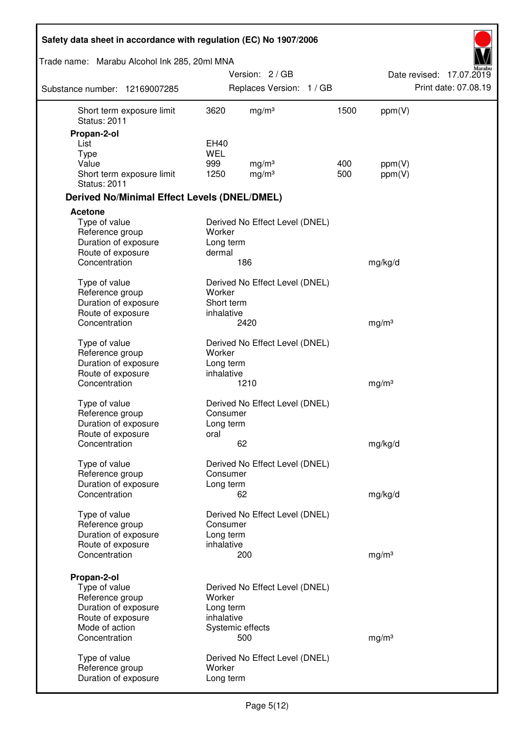| Safety data sheet in accordance with regulation (EC) No 1907/2006 |                         |                                        |      |                   |                          |
|-------------------------------------------------------------------|-------------------------|----------------------------------------|------|-------------------|--------------------------|
| Trade name: Marabu Alcohol Ink 285, 20ml MNA                      |                         |                                        |      |                   |                          |
|                                                                   |                         | Version: 2/GB                          |      |                   | Date revised: 17.07.2019 |
| Substance number: 12169007285                                     |                         | Replaces Version: 1 / GB               |      |                   | Print date: 07.08.19     |
| Short term exposure limit<br><b>Status: 2011</b>                  | 3620                    | mg/m <sup>3</sup>                      | 1500 | ppm(V)            |                          |
| Propan-2-ol                                                       |                         |                                        |      |                   |                          |
| List                                                              | EH40                    |                                        |      |                   |                          |
| <b>Type</b><br>Value                                              | <b>WEL</b><br>999       |                                        | 400  |                   |                          |
| Short term exposure limit<br><b>Status: 2011</b>                  | 1250                    | mg/m <sup>3</sup><br>mg/m <sup>3</sup> | 500  | ppm(V)<br>ppm(V)  |                          |
| <b>Derived No/Minimal Effect Levels (DNEL/DMEL)</b>               |                         |                                        |      |                   |                          |
| <b>Acetone</b>                                                    |                         |                                        |      |                   |                          |
| Type of value<br>Reference group<br>Duration of exposure          | Worker<br>Long term     | Derived No Effect Level (DNEL)         |      |                   |                          |
| Route of exposure                                                 | dermal                  |                                        |      |                   |                          |
| Concentration                                                     |                         | 186                                    |      | mg/kg/d           |                          |
| Type of value<br>Reference group                                  | Worker                  | Derived No Effect Level (DNEL)         |      |                   |                          |
| Duration of exposure                                              | Short term              |                                        |      |                   |                          |
| Route of exposure<br>Concentration                                | inhalative              | 2420                                   |      | mg/m <sup>3</sup> |                          |
| Type of value                                                     |                         | Derived No Effect Level (DNEL)         |      |                   |                          |
| Reference group                                                   | Worker                  |                                        |      |                   |                          |
| Duration of exposure                                              | Long term               |                                        |      |                   |                          |
| Route of exposure<br>Concentration                                | inhalative              | 1210                                   |      | mg/m <sup>3</sup> |                          |
|                                                                   |                         |                                        |      |                   |                          |
| Type of value                                                     |                         | Derived No Effect Level (DNEL)         |      |                   |                          |
| Reference group                                                   | Consumer                |                                        |      |                   |                          |
| Duration of exposure<br>Route of exposure                         | Long term<br>oral       |                                        |      |                   |                          |
| Concentration                                                     |                         | 62                                     |      | mg/kg/d           |                          |
| Type of value                                                     |                         | Derived No Effect Level (DNEL)         |      |                   |                          |
| Reference group                                                   | Consumer                |                                        |      |                   |                          |
| Duration of exposure                                              | Long term               |                                        |      |                   |                          |
| Concentration                                                     |                         | 62                                     |      | mg/kg/d           |                          |
| Type of value                                                     |                         | Derived No Effect Level (DNEL)         |      |                   |                          |
| Reference group                                                   | Consumer                |                                        |      |                   |                          |
| Duration of exposure                                              | Long term               |                                        |      |                   |                          |
| Route of exposure                                                 | inhalative              |                                        |      |                   |                          |
| Concentration                                                     |                         | 200                                    |      | mg/m <sup>3</sup> |                          |
| Propan-2-ol                                                       |                         |                                        |      |                   |                          |
| Type of value                                                     |                         | Derived No Effect Level (DNEL)         |      |                   |                          |
| Reference group                                                   | Worker                  |                                        |      |                   |                          |
| Duration of exposure<br>Route of exposure                         | Long term<br>inhalative |                                        |      |                   |                          |
| Mode of action                                                    |                         | Systemic effects                       |      |                   |                          |
| Concentration                                                     |                         | 500                                    |      | mg/m <sup>3</sup> |                          |
|                                                                   |                         |                                        |      |                   |                          |
| Type of value<br>Reference group                                  | Worker                  | Derived No Effect Level (DNEL)         |      |                   |                          |
| Duration of exposure                                              | Long term               |                                        |      |                   |                          |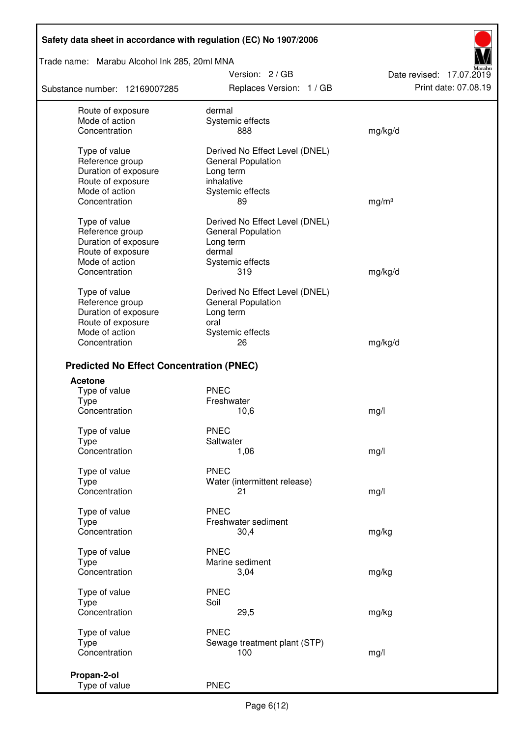Trade name: Marabu Alcohol Ink 285, 20ml MNA

Substance number: 12169007285

Version: 2 / GB Replaces Version: 1 / GB Print date: 07.08.19

Date revised: 17.07.2019

| Route of exposure                               | dermal                         |                   |
|-------------------------------------------------|--------------------------------|-------------------|
| Mode of action                                  | Systemic effects               |                   |
| Concentration                                   | 888                            | mg/kg/d           |
|                                                 |                                |                   |
| Type of value                                   | Derived No Effect Level (DNEL) |                   |
| Reference group                                 |                                |                   |
|                                                 | General Population             |                   |
| Duration of exposure                            | Long term                      |                   |
| Route of exposure                               | inhalative                     |                   |
| Mode of action                                  | Systemic effects               |                   |
| Concentration                                   | 89                             | mg/m <sup>3</sup> |
|                                                 |                                |                   |
| Type of value                                   | Derived No Effect Level (DNEL) |                   |
| Reference group                                 | General Population             |                   |
| Duration of exposure                            | Long term                      |                   |
| Route of exposure                               | dermal                         |                   |
| Mode of action                                  | Systemic effects               |                   |
| Concentration                                   | 319                            | mg/kg/d           |
|                                                 |                                |                   |
| Type of value                                   | Derived No Effect Level (DNEL) |                   |
| Reference group                                 | <b>General Population</b>      |                   |
| Duration of exposure                            | Long term                      |                   |
| Route of exposure                               | oral                           |                   |
| Mode of action                                  | Systemic effects               |                   |
| Concentration                                   | 26                             | mg/kg/d           |
|                                                 |                                |                   |
| <b>Predicted No Effect Concentration (PNEC)</b> |                                |                   |
| <b>Acetone</b>                                  |                                |                   |
| Type of value                                   | <b>PNEC</b>                    |                   |
| <b>Type</b>                                     | Freshwater                     |                   |
| Concentration                                   | 10,6                           | mg/l              |
|                                                 |                                |                   |
| Type of value                                   | <b>PNEC</b>                    |                   |
| <b>Type</b>                                     | Saltwater                      |                   |
| Concentration                                   | 1,06                           | mg/l              |
|                                                 | <b>PNEC</b>                    |                   |
| Type of value                                   |                                |                   |
| Type                                            | Water (intermittent release)   |                   |
| Concentration                                   | 21                             | mg/l              |
| Type of value                                   | <b>PNEC</b>                    |                   |
| Type                                            | Freshwater sediment            |                   |
| Concentration                                   |                                |                   |
|                                                 | 30,4                           | mg/kg             |
| Type of value                                   | <b>PNEC</b>                    |                   |
| Type                                            | Marine sediment                |                   |
| Concentration                                   | 3,04                           | mg/kg             |
|                                                 |                                |                   |
| Type of value                                   | <b>PNEC</b>                    |                   |
| Type                                            | Soil                           |                   |
| Concentration                                   | 29,5                           | mg/kg             |
|                                                 |                                |                   |
| Type of value                                   | <b>PNEC</b>                    |                   |
| <b>Type</b>                                     | Sewage treatment plant (STP)   |                   |
| Concentration                                   | 100                            | mg/l              |
|                                                 |                                |                   |
| Propan-2-ol                                     |                                |                   |
| Type of value                                   | <b>PNEC</b>                    |                   |
|                                                 |                                |                   |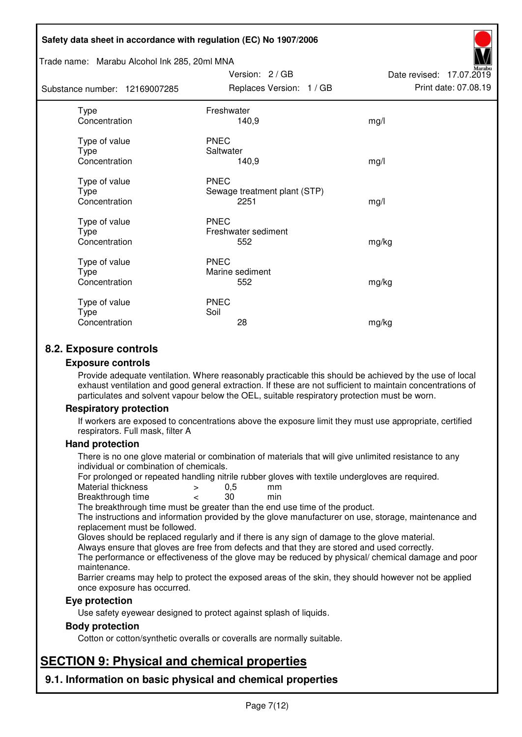#### Trade name: Marabu Alcohol Ink 285, 20ml MNA

Subst

| tance number: 12169007285              | Replaces Version: 1 / GB                            | Print date: 07.08.19 |
|----------------------------------------|-----------------------------------------------------|----------------------|
| Type<br>Concentration                  | Freshwater<br>140,9                                 | mg/l                 |
| Type of value<br>Type<br>Concentration | <b>PNEC</b><br>Saltwater<br>140,9                   | mg/l                 |
| Type of value<br>Type<br>Concentration | <b>PNEC</b><br>Sewage treatment plant (STP)<br>2251 | mg/l                 |
| Type of value<br>Type<br>Concentration | <b>PNEC</b><br>Freshwater sediment<br>552           | mg/kg                |
| Type of value<br>Type<br>Concentration | <b>PNEC</b><br>Marine sediment<br>552               | mg/kg                |
| Type of value<br>Type<br>Concentration | <b>PNEC</b><br>Soil<br>28                           | mg/kg                |

Version: 2 / GB

Date revised: 17.07.2019

## **8.2. Exposure controls**

#### **Exposure controls**

Provide adequate ventilation. Where reasonably practicable this should be achieved by the use of local exhaust ventilation and good general extraction. If these are not sufficient to maintain concentrations of particulates and solvent vapour below the OEL, suitable respiratory protection must be worn.

#### **Respiratory protection**

If workers are exposed to concentrations above the exposure limit they must use appropriate, certified respirators. Full mask, filter A

#### **Hand protection**

There is no one glove material or combination of materials that will give unlimited resistance to any individual or combination of chemicals.

For prolonged or repeated handling nitrile rubber gloves with textile undergloves are required.<br>Material thickness  $\geq 0.5$  mm

- Material thickness  $\begin{array}{ccc} 0.5 \\ -8.5 \end{array}$  Material thickness  $\begin{array}{ccc} 0.5 \\ -8.5 \end{array}$
- Breakthrough time < 30 min

The breakthrough time must be greater than the end use time of the product.

The instructions and information provided by the glove manufacturer on use, storage, maintenance and replacement must be followed.

Gloves should be replaced regularly and if there is any sign of damage to the glove material.

Always ensure that gloves are free from defects and that they are stored and used correctly.

The performance or effectiveness of the glove may be reduced by physical/ chemical damage and poor maintenance.

Barrier creams may help to protect the exposed areas of the skin, they should however not be applied once exposure has occurred.

## **Eye protection**

Use safety eyewear designed to protect against splash of liquids.

## **Body protection**

Cotton or cotton/synthetic overalls or coveralls are normally suitable.

## **SECTION 9: Physical and chemical properties**

**9.1. Information on basic physical and chemical properties**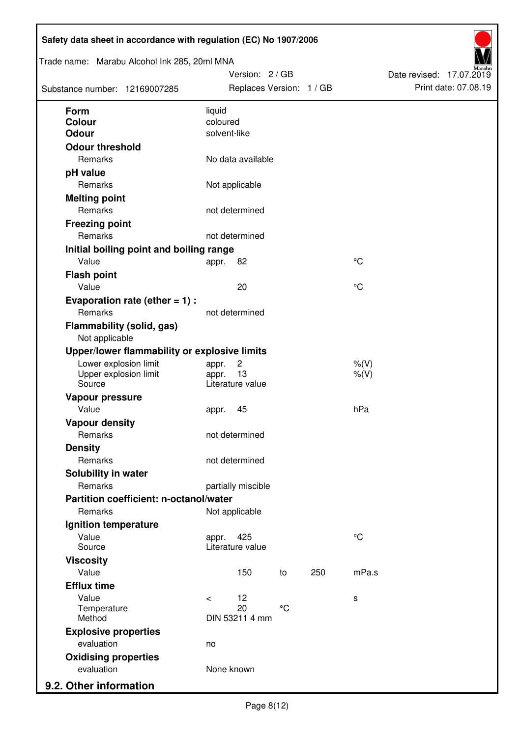| Trade name: Marabu Alcohol Ink 285, 20ml MNA<br>Substance number: 12169007285 | Version: 2 / GB<br>Replaces Version: 1 / GB |                 |     |             | Date revised: 17.07.2019 | Print date: 07.08.19 |
|-------------------------------------------------------------------------------|---------------------------------------------|-----------------|-----|-------------|--------------------------|----------------------|
| Form                                                                          | liquid                                      |                 |     |             |                          |                      |
| <b>Colour</b>                                                                 | coloured                                    |                 |     |             |                          |                      |
| <b>Odour</b>                                                                  | solvent-like                                |                 |     |             |                          |                      |
| <b>Odour threshold</b>                                                        |                                             |                 |     |             |                          |                      |
| Remarks                                                                       | No data available                           |                 |     |             |                          |                      |
| pH value                                                                      |                                             |                 |     |             |                          |                      |
| Remarks                                                                       | Not applicable                              |                 |     |             |                          |                      |
| <b>Melting point</b>                                                          |                                             |                 |     |             |                          |                      |
| Remarks                                                                       | not determined                              |                 |     |             |                          |                      |
| <b>Freezing point</b>                                                         |                                             |                 |     |             |                          |                      |
| Remarks                                                                       | not determined                              |                 |     |             |                          |                      |
| Initial boiling point and boiling range                                       |                                             |                 |     |             |                          |                      |
| Value                                                                         | 82<br>appr.                                 |                 |     | $^{\circ}C$ |                          |                      |
| <b>Flash point</b>                                                            |                                             |                 |     |             |                          |                      |
| Value                                                                         | 20                                          |                 |     | $^{\circ}C$ |                          |                      |
| Evaporation rate (ether $= 1$ ) :                                             |                                             |                 |     |             |                          |                      |
| Remarks                                                                       | not determined                              |                 |     |             |                          |                      |
| <b>Flammability (solid, gas)</b><br>Not applicable                            |                                             |                 |     |             |                          |                      |
| Upper/lower flammability or explosive limits                                  |                                             |                 |     |             |                          |                      |
| Lower explosion limit                                                         | $\overline{c}$<br>appr.                     |                 |     | $%$ (V)     |                          |                      |
| Upper explosion limit                                                         | 13<br>appr.                                 |                 |     | $%$ (V)     |                          |                      |
| Source                                                                        | Literature value                            |                 |     |             |                          |                      |
| Vapour pressure                                                               |                                             |                 |     |             |                          |                      |
| Value                                                                         | 45<br>appr.                                 |                 |     | hPa         |                          |                      |
| <b>Vapour density</b>                                                         |                                             |                 |     |             |                          |                      |
| Remarks                                                                       | not determined                              |                 |     |             |                          |                      |
| <b>Density</b>                                                                |                                             |                 |     |             |                          |                      |
| Remarks                                                                       | not determined                              |                 |     |             |                          |                      |
| Solubility in water                                                           |                                             |                 |     |             |                          |                      |
| Remarks                                                                       | partially miscible                          |                 |     |             |                          |                      |
| Partition coefficient: n-octanol/water                                        |                                             |                 |     |             |                          |                      |
| Remarks                                                                       | Not applicable                              |                 |     |             |                          |                      |
| Ignition temperature<br>Value                                                 |                                             |                 |     | $^{\circ}C$ |                          |                      |
| Source                                                                        | 425<br>appr.<br>Literature value            |                 |     |             |                          |                      |
| <b>Viscosity</b>                                                              |                                             |                 |     |             |                          |                      |
| Value                                                                         | 150                                         | to              | 250 | mPa.s       |                          |                      |
| <b>Efflux time</b>                                                            |                                             |                 |     |             |                          |                      |
| Value                                                                         | 12<br>$\,<\,$                               |                 |     | s           |                          |                      |
| Temperature                                                                   | 20                                          | $\rm ^{\circ}C$ |     |             |                          |                      |
| Method                                                                        | DIN 53211 4 mm                              |                 |     |             |                          |                      |
| <b>Explosive properties</b>                                                   |                                             |                 |     |             |                          |                      |
| evaluation                                                                    | no                                          |                 |     |             |                          |                      |
| <b>Oxidising properties</b>                                                   |                                             |                 |     |             |                          |                      |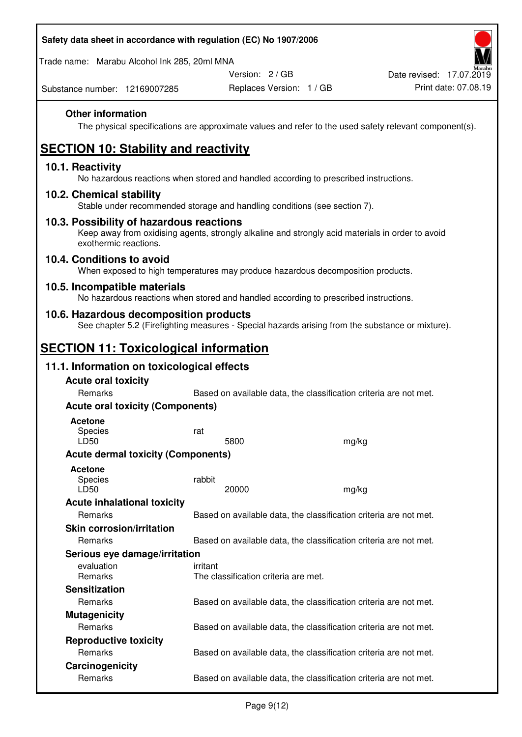| Safety data sheet in accordance with regulation (EC) No 1907/2006                                                                                                     |          |                                                                   |                                                                   |                          |
|-----------------------------------------------------------------------------------------------------------------------------------------------------------------------|----------|-------------------------------------------------------------------|-------------------------------------------------------------------|--------------------------|
| Trade name: Marabu Alcohol Ink 285, 20ml MNA                                                                                                                          |          |                                                                   |                                                                   |                          |
|                                                                                                                                                                       |          | Version: 2 / GB                                                   |                                                                   | Date revised: 17.07.2019 |
| Substance number: 12169007285                                                                                                                                         |          | Replaces Version: 1 / GB                                          |                                                                   | Print date: 07.08.19     |
| <b>Other information</b><br>The physical specifications are approximate values and refer to the used safety relevant component(s).                                    |          |                                                                   |                                                                   |                          |
| <b>SECTION 10: Stability and reactivity</b>                                                                                                                           |          |                                                                   |                                                                   |                          |
| 10.1. Reactivity<br>No hazardous reactions when stored and handled according to prescribed instructions.                                                              |          |                                                                   |                                                                   |                          |
| 10.2. Chemical stability<br>Stable under recommended storage and handling conditions (see section 7).                                                                 |          |                                                                   |                                                                   |                          |
| 10.3. Possibility of hazardous reactions<br>Keep away from oxidising agents, strongly alkaline and strongly acid materials in order to avoid<br>exothermic reactions. |          |                                                                   |                                                                   |                          |
| 10.4. Conditions to avoid<br>When exposed to high temperatures may produce hazardous decomposition products.                                                          |          |                                                                   |                                                                   |                          |
| 10.5. Incompatible materials<br>No hazardous reactions when stored and handled according to prescribed instructions.                                                  |          |                                                                   |                                                                   |                          |
| 10.6. Hazardous decomposition products<br>See chapter 5.2 (Firefighting measures - Special hazards arising from the substance or mixture).                            |          |                                                                   |                                                                   |                          |
| <b>SECTION 11: Toxicological information</b>                                                                                                                          |          |                                                                   |                                                                   |                          |
| 11.1. Information on toxicological effects                                                                                                                            |          |                                                                   |                                                                   |                          |
| <b>Acute oral toxicity</b>                                                                                                                                            |          |                                                                   |                                                                   |                          |
| Remarks                                                                                                                                                               |          |                                                                   | Based on available data, the classification criteria are not met. |                          |
| <b>Acute oral toxicity (Components)</b>                                                                                                                               |          |                                                                   |                                                                   |                          |
| <b>Acetone</b>                                                                                                                                                        |          |                                                                   |                                                                   |                          |
| Species                                                                                                                                                               | rat      |                                                                   |                                                                   |                          |
| <b>LD50</b><br><b>Acute dermal toxicity (Components)</b>                                                                                                              |          | 5800                                                              | mg/kg                                                             |                          |
|                                                                                                                                                                       |          |                                                                   |                                                                   |                          |
| <b>Acetone</b><br>Species<br>LD50                                                                                                                                     | rabbit   | 20000                                                             | mg/kg                                                             |                          |
| <b>Acute inhalational toxicity</b>                                                                                                                                    |          |                                                                   |                                                                   |                          |
| Remarks                                                                                                                                                               |          |                                                                   | Based on available data, the classification criteria are not met. |                          |
| <b>Skin corrosion/irritation</b>                                                                                                                                      |          |                                                                   |                                                                   |                          |
| Remarks                                                                                                                                                               |          |                                                                   | Based on available data, the classification criteria are not met. |                          |
| Serious eye damage/irritation                                                                                                                                         |          |                                                                   |                                                                   |                          |
| evaluation<br>Remarks                                                                                                                                                 | irritant | The classification criteria are met.                              |                                                                   |                          |
| <b>Sensitization</b>                                                                                                                                                  |          |                                                                   |                                                                   |                          |
| Remarks                                                                                                                                                               |          |                                                                   | Based on available data, the classification criteria are not met. |                          |
| <b>Mutagenicity</b>                                                                                                                                                   |          |                                                                   |                                                                   |                          |
| Remarks                                                                                                                                                               |          |                                                                   | Based on available data, the classification criteria are not met. |                          |
| <b>Reproductive toxicity</b>                                                                                                                                          |          |                                                                   |                                                                   |                          |
| Remarks                                                                                                                                                               |          | Based on available data, the classification criteria are not met. |                                                                   |                          |

 $\overline{a}$ 

Remarks Based on available data, the classification criteria are not met.

**Carcinogenicity** 

 $\Gamma$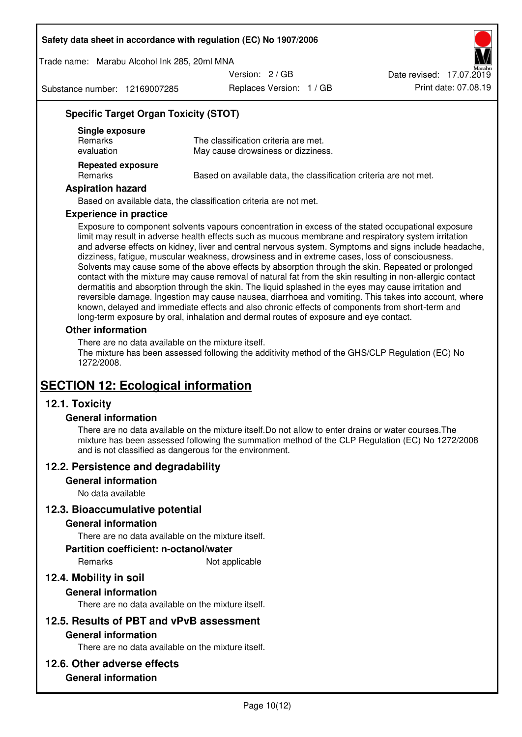Trade name: Marabu Alcohol Ink 285, 20ml MNA

Version: 2 / GB

Substance number: 12169007285

Replaces Version: 1 / GB Print date: 07.08.19 Date revised: 17.07.2019

## **Specific Target Organ Toxicity (STOT)**

| Single exposure<br><b>Remarks</b><br>evaluation | The classification criteria are met.<br>May cause drowsiness or dizziness. |
|-------------------------------------------------|----------------------------------------------------------------------------|
| <b>Repeated exposure</b><br><b>Remarks</b>      | Based on available data, the classification criteria are not met.          |

## **Aspiration hazard**

Based on available data, the classification criteria are not met.

#### **Experience in practice**

Exposure to component solvents vapours concentration in excess of the stated occupational exposure limit may result in adverse health effects such as mucous membrane and respiratory system irritation and adverse effects on kidney, liver and central nervous system. Symptoms and signs include headache, dizziness, fatigue, muscular weakness, drowsiness and in extreme cases, loss of consciousness. Solvents may cause some of the above effects by absorption through the skin. Repeated or prolonged contact with the mixture may cause removal of natural fat from the skin resulting in non-allergic contact dermatitis and absorption through the skin. The liquid splashed in the eyes may cause irritation and reversible damage. Ingestion may cause nausea, diarrhoea and vomiting. This takes into account, where known, delayed and immediate effects and also chronic effects of components from short-term and long-term exposure by oral, inhalation and dermal routes of exposure and eye contact.

## **Other information**

There are no data available on the mixture itself. The mixture has been assessed following the additivity method of the GHS/CLP Regulation (EC) No 1272/2008.

## **SECTION 12: Ecological information**

## **12.1. Toxicity**

## **General information**

There are no data available on the mixture itself.Do not allow to enter drains or water courses.The mixture has been assessed following the summation method of the CLP Regulation (EC) No 1272/2008 and is not classified as dangerous for the environment.

## **12.2. Persistence and degradability**

#### **General information**

No data available

## **12.3. Bioaccumulative potential**

## **General information**

There are no data available on the mixture itself.

#### **Partition coefficient: n-octanol/water**

Remarks Not applicable

## **12.4. Mobility in soil**

## **General information**

There are no data available on the mixture itself.

## **12.5. Results of PBT and vPvB assessment**

## **General information**

There are no data available on the mixture itself.

## **12.6. Other adverse effects**

## **General information**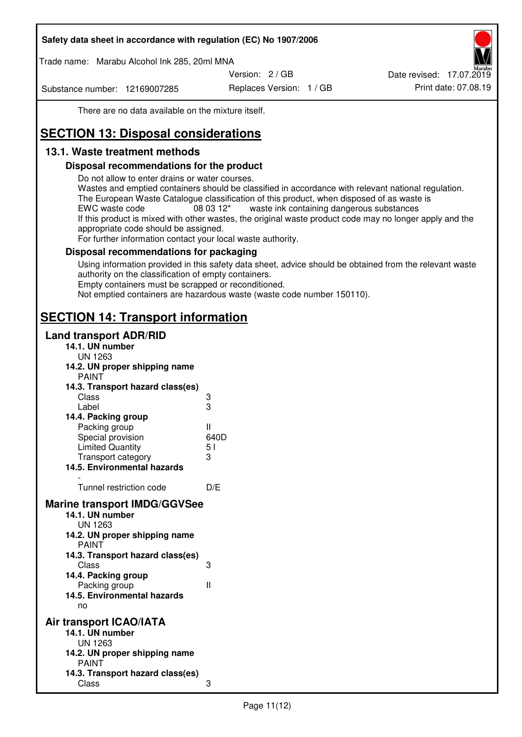Trade name: Marabu Alcohol Ink 285, 20ml MNA

Version: 2 / GB

Substance number: 12169007285

Replaces Version: 1 / GB Print date: 07.08.19 Date revised: 17.07.2019

There are no data available on the mixture itself.

# **SECTION 13: Disposal considerations**

## **13.1. Waste treatment methods**

## **Disposal recommendations for the product**

Do not allow to enter drains or water courses.

Wastes and emptied containers should be classified in accordance with relevant national regulation. The European Waste Catalogue classification of this product, when disposed of as waste is EWC waste code  $08\,03\,12^*$  waste ink containing dangerous substances If this product is mixed with other wastes, the original waste product code may no longer apply and the appropriate code should be assigned.

For further information contact your local waste authority.

## **Disposal recommendations for packaging**

Using information provided in this safety data sheet, advice should be obtained from the relevant waste authority on the classification of empty containers. Empty containers must be scrapped or reconditioned.

Not emptied containers are hazardous waste (waste code number 150110).

## **SECTION 14: Transport information**

## **Land transport ADR/RID**

| 14.1. UN number<br><b>UN 1263</b>                                                                                                                                                                                                            |                   |
|----------------------------------------------------------------------------------------------------------------------------------------------------------------------------------------------------------------------------------------------|-------------------|
| 14.2. UN proper shipping name                                                                                                                                                                                                                |                   |
| <b>PAINT</b>                                                                                                                                                                                                                                 |                   |
| 14.3. Transport hazard class(es)                                                                                                                                                                                                             |                   |
| Class                                                                                                                                                                                                                                        | ვ<br>ვ            |
| Label                                                                                                                                                                                                                                        |                   |
| 14.4. Packing group                                                                                                                                                                                                                          |                   |
| Packing group                                                                                                                                                                                                                                | Ш                 |
| Special provision                                                                                                                                                                                                                            | 640D              |
| <b>Limited Quantity</b>                                                                                                                                                                                                                      | 5 <sub>1</sub>    |
| Transport category                                                                                                                                                                                                                           | 3                 |
| 14.5. Environmental hazards                                                                                                                                                                                                                  |                   |
| Tunnel restriction code                                                                                                                                                                                                                      | D/E               |
| <b>Marine transport IMDG/GGVSee</b><br>14.1. UN number<br>UN 1263<br>14.2. UN proper shipping name<br><b>PAINT</b><br>14.3. Transport hazard class(es)<br>Class<br>14.4. Packing group<br>Packing group<br>14.5. Environmental hazards<br>no | 3<br>$\mathbf{I}$ |
| Air transport ICAO/IATA<br>14.1. UN number<br>UN 1263<br>14.2. UN proper shipping name<br><b>PAINT</b>                                                                                                                                       |                   |
| 14.3. Transport hazard class(es)<br>Class                                                                                                                                                                                                    | 3                 |